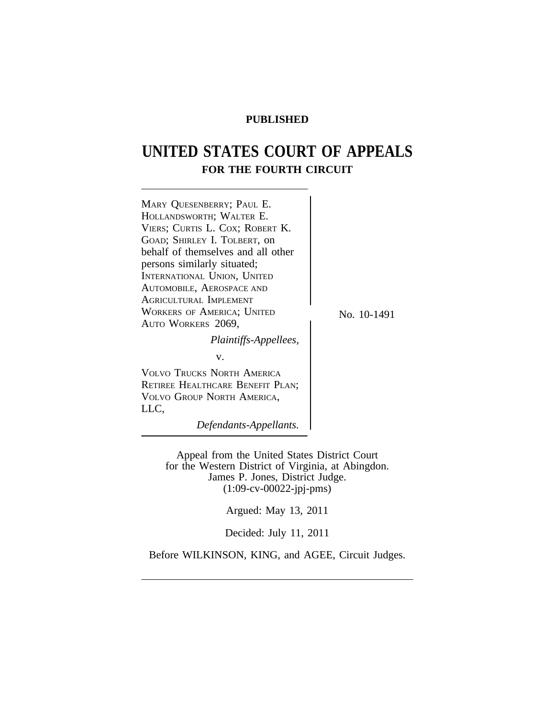# **PUBLISHED**

# **UNITED STATES COURT OF APPEALS FOR THE FOURTH CIRCUIT**



Appeal from the United States District Court for the Western District of Virginia, at Abingdon. James P. Jones, District Judge. (1:09-cv-00022-jpj-pms)

Argued: May 13, 2011

Decided: July 11, 2011

Before WILKINSON, KING, and AGEE, Circuit Judges.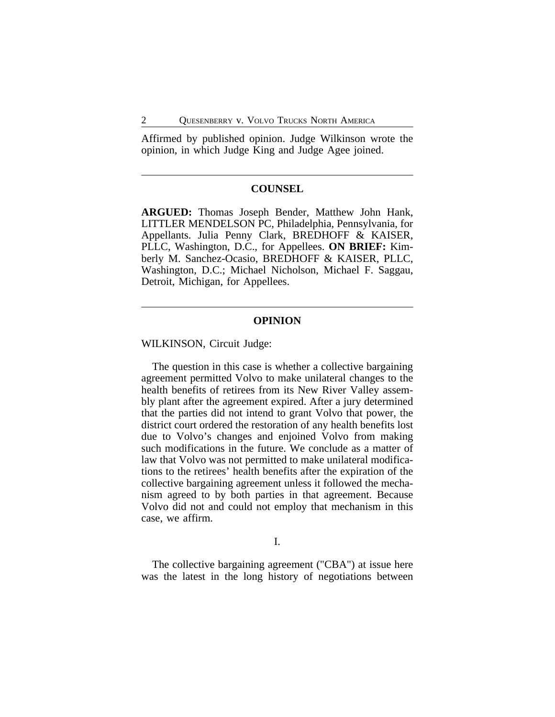Affirmed by published opinion. Judge Wilkinson wrote the opinion, in which Judge King and Judge Agee joined.

## **COUNSEL**

**ARGUED:** Thomas Joseph Bender, Matthew John Hank, LITTLER MENDELSON PC, Philadelphia, Pennsylvania, for Appellants. Julia Penny Clark, BREDHOFF & KAISER, PLLC, Washington, D.C., for Appellees. **ON BRIEF:** Kimberly M. Sanchez-Ocasio, BREDHOFF & KAISER, PLLC, Washington, D.C.; Michael Nicholson, Michael F. Saggau, Detroit, Michigan, for Appellees.

#### **OPINION**

WILKINSON, Circuit Judge:

The question in this case is whether a collective bargaining agreement permitted Volvo to make unilateral changes to the health benefits of retirees from its New River Valley assembly plant after the agreement expired. After a jury determined that the parties did not intend to grant Volvo that power, the district court ordered the restoration of any health benefits lost due to Volvo's changes and enjoined Volvo from making such modifications in the future. We conclude as a matter of law that Volvo was not permitted to make unilateral modifications to the retirees' health benefits after the expiration of the collective bargaining agreement unless it followed the mechanism agreed to by both parties in that agreement. Because Volvo did not and could not employ that mechanism in this case, we affirm.

I.

The collective bargaining agreement ("CBA") at issue here was the latest in the long history of negotiations between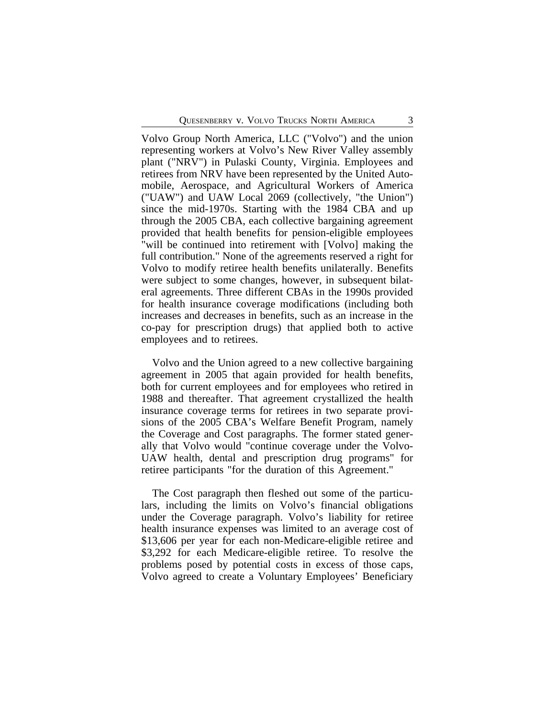Volvo Group North America, LLC ("Volvo") and the union representing workers at Volvo's New River Valley assembly plant ("NRV") in Pulaski County, Virginia. Employees and retirees from NRV have been represented by the United Automobile, Aerospace, and Agricultural Workers of America ("UAW") and UAW Local 2069 (collectively, "the Union") since the mid-1970s. Starting with the 1984 CBA and up through the 2005 CBA, each collective bargaining agreement provided that health benefits for pension-eligible employees "will be continued into retirement with [Volvo] making the full contribution." None of the agreements reserved a right for Volvo to modify retiree health benefits unilaterally. Benefits were subject to some changes, however, in subsequent bilateral agreements. Three different CBAs in the 1990s provided for health insurance coverage modifications (including both increases and decreases in benefits, such as an increase in the co-pay for prescription drugs) that applied both to active employees and to retirees.

Volvo and the Union agreed to a new collective bargaining agreement in 2005 that again provided for health benefits, both for current employees and for employees who retired in 1988 and thereafter. That agreement crystallized the health insurance coverage terms for retirees in two separate provisions of the 2005 CBA's Welfare Benefit Program, namely the Coverage and Cost paragraphs. The former stated generally that Volvo would "continue coverage under the Volvo-UAW health, dental and prescription drug programs" for retiree participants "for the duration of this Agreement."

The Cost paragraph then fleshed out some of the particulars, including the limits on Volvo's financial obligations under the Coverage paragraph. Volvo's liability for retiree health insurance expenses was limited to an average cost of \$13,606 per year for each non-Medicare-eligible retiree and \$3,292 for each Medicare-eligible retiree. To resolve the problems posed by potential costs in excess of those caps, Volvo agreed to create a Voluntary Employees' Beneficiary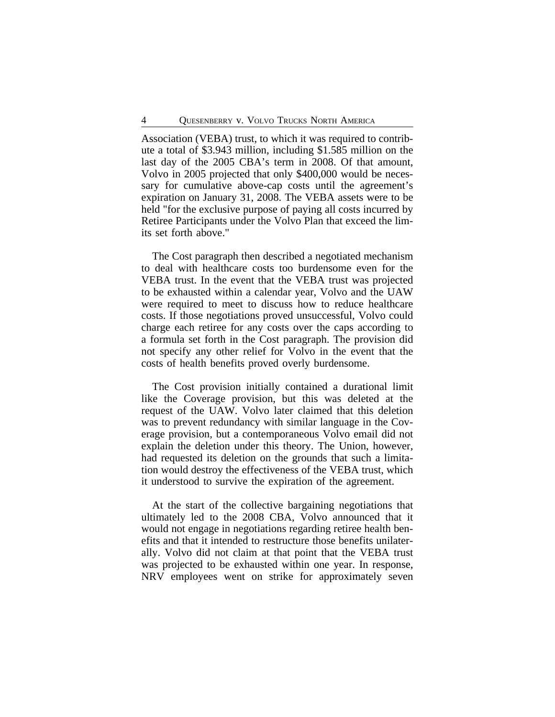Association (VEBA) trust, to which it was required to contribute a total of \$3.943 million, including \$1.585 million on the last day of the 2005 CBA's term in 2008. Of that amount, Volvo in 2005 projected that only \$400,000 would be necessary for cumulative above-cap costs until the agreement's expiration on January 31, 2008. The VEBA assets were to be held "for the exclusive purpose of paying all costs incurred by Retiree Participants under the Volvo Plan that exceed the limits set forth above."

The Cost paragraph then described a negotiated mechanism to deal with healthcare costs too burdensome even for the VEBA trust. In the event that the VEBA trust was projected to be exhausted within a calendar year, Volvo and the UAW were required to meet to discuss how to reduce healthcare costs. If those negotiations proved unsuccessful, Volvo could charge each retiree for any costs over the caps according to a formula set forth in the Cost paragraph. The provision did not specify any other relief for Volvo in the event that the costs of health benefits proved overly burdensome.

The Cost provision initially contained a durational limit like the Coverage provision, but this was deleted at the request of the UAW. Volvo later claimed that this deletion was to prevent redundancy with similar language in the Coverage provision, but a contemporaneous Volvo email did not explain the deletion under this theory. The Union, however, had requested its deletion on the grounds that such a limitation would destroy the effectiveness of the VEBA trust, which it understood to survive the expiration of the agreement.

At the start of the collective bargaining negotiations that ultimately led to the 2008 CBA, Volvo announced that it would not engage in negotiations regarding retiree health benefits and that it intended to restructure those benefits unilaterally. Volvo did not claim at that point that the VEBA trust was projected to be exhausted within one year. In response, NRV employees went on strike for approximately seven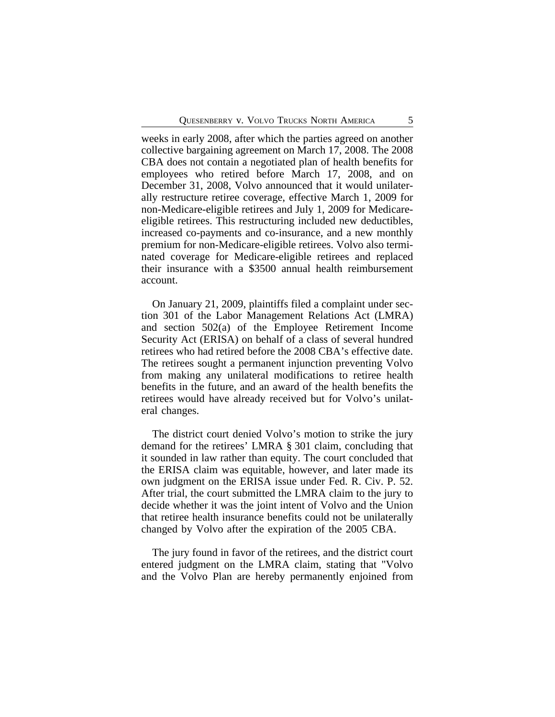weeks in early 2008, after which the parties agreed on another collective bargaining agreement on March 17, 2008. The 2008 CBA does not contain a negotiated plan of health benefits for employees who retired before March 17, 2008, and on December 31, 2008, Volvo announced that it would unilaterally restructure retiree coverage, effective March 1, 2009 for non-Medicare-eligible retirees and July 1, 2009 for Medicareeligible retirees. This restructuring included new deductibles, increased co-payments and co-insurance, and a new monthly premium for non-Medicare-eligible retirees. Volvo also terminated coverage for Medicare-eligible retirees and replaced their insurance with a \$3500 annual health reimbursement account.

On January 21, 2009, plaintiffs filed a complaint under section 301 of the Labor Management Relations Act (LMRA) and section 502(a) of the Employee Retirement Income Security Act (ERISA) on behalf of a class of several hundred retirees who had retired before the 2008 CBA's effective date. The retirees sought a permanent injunction preventing Volvo from making any unilateral modifications to retiree health benefits in the future, and an award of the health benefits the retirees would have already received but for Volvo's unilateral changes.

The district court denied Volvo's motion to strike the jury demand for the retirees' LMRA § 301 claim, concluding that it sounded in law rather than equity. The court concluded that the ERISA claim was equitable, however, and later made its own judgment on the ERISA issue under Fed. R. Civ. P. 52. After trial, the court submitted the LMRA claim to the jury to decide whether it was the joint intent of Volvo and the Union that retiree health insurance benefits could not be unilaterally changed by Volvo after the expiration of the 2005 CBA.

The jury found in favor of the retirees, and the district court entered judgment on the LMRA claim, stating that "Volvo and the Volvo Plan are hereby permanently enjoined from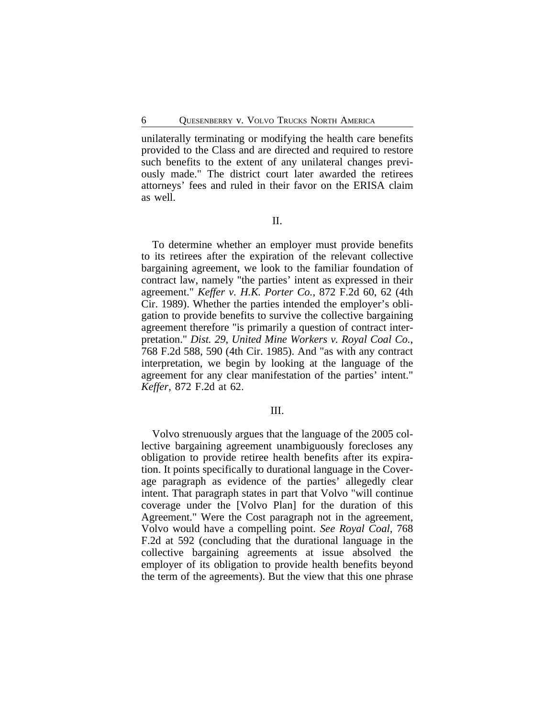unilaterally terminating or modifying the health care benefits provided to the Class and are directed and required to restore such benefits to the extent of any unilateral changes previously made." The district court later awarded the retirees attorneys' fees and ruled in their favor on the ERISA claim as well.

II.

To determine whether an employer must provide benefits to its retirees after the expiration of the relevant collective bargaining agreement, we look to the familiar foundation of contract law, namely "the parties' intent as expressed in their agreement." *Keffer v. H.K. Porter Co.*, 872 F.2d 60, 62 (4th Cir. 1989). Whether the parties intended the employer's obligation to provide benefits to survive the collective bargaining agreement therefore "is primarily a question of contract interpretation." *Dist. 29, United Mine Workers v. Royal Coal Co.*, 768 F.2d 588, 590 (4th Cir. 1985). And "as with any contract interpretation, we begin by looking at the language of the agreement for any clear manifestation of the parties' intent." *Keffer*, 872 F.2d at 62.

#### III.

Volvo strenuously argues that the language of the 2005 collective bargaining agreement unambiguously forecloses any obligation to provide retiree health benefits after its expiration. It points specifically to durational language in the Coverage paragraph as evidence of the parties' allegedly clear intent. That paragraph states in part that Volvo "will continue coverage under the [Volvo Plan] for the duration of this Agreement." Were the Cost paragraph not in the agreement, Volvo would have a compelling point. *See Royal Coal*, 768 F.2d at 592 (concluding that the durational language in the collective bargaining agreements at issue absolved the employer of its obligation to provide health benefits beyond the term of the agreements). But the view that this one phrase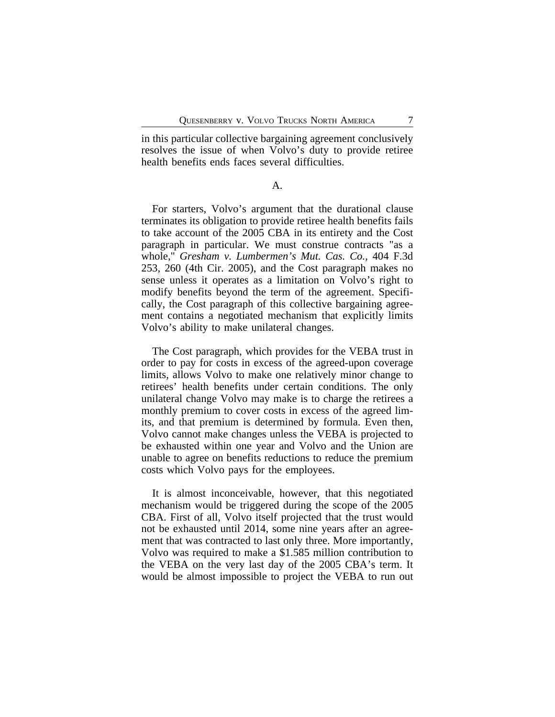in this particular collective bargaining agreement conclusively resolves the issue of when Volvo's duty to provide retiree health benefits ends faces several difficulties.

#### A.

For starters, Volvo's argument that the durational clause terminates its obligation to provide retiree health benefits fails to take account of the 2005 CBA in its entirety and the Cost paragraph in particular. We must construe contracts "as a whole," *Gresham v. Lumbermen's Mut. Cas. Co.*, 404 F.3d 253, 260 (4th Cir. 2005), and the Cost paragraph makes no sense unless it operates as a limitation on Volvo's right to modify benefits beyond the term of the agreement. Specifically, the Cost paragraph of this collective bargaining agreement contains a negotiated mechanism that explicitly limits Volvo's ability to make unilateral changes.

The Cost paragraph, which provides for the VEBA trust in order to pay for costs in excess of the agreed-upon coverage limits, allows Volvo to make one relatively minor change to retirees' health benefits under certain conditions. The only unilateral change Volvo may make is to charge the retirees a monthly premium to cover costs in excess of the agreed limits, and that premium is determined by formula. Even then, Volvo cannot make changes unless the VEBA is projected to be exhausted within one year and Volvo and the Union are unable to agree on benefits reductions to reduce the premium costs which Volvo pays for the employees.

It is almost inconceivable, however, that this negotiated mechanism would be triggered during the scope of the 2005 CBA. First of all, Volvo itself projected that the trust would not be exhausted until 2014, some nine years after an agreement that was contracted to last only three. More importantly, Volvo was required to make a \$1.585 million contribution to the VEBA on the very last day of the 2005 CBA's term. It would be almost impossible to project the VEBA to run out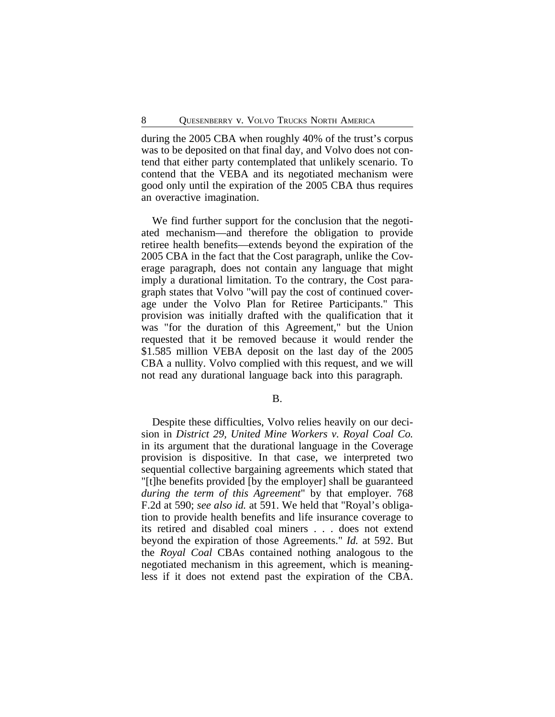during the 2005 CBA when roughly 40% of the trust's corpus was to be deposited on that final day, and Volvo does not contend that either party contemplated that unlikely scenario. To contend that the VEBA and its negotiated mechanism were good only until the expiration of the 2005 CBA thus requires an overactive imagination.

We find further support for the conclusion that the negotiated mechanism—and therefore the obligation to provide retiree health benefits—extends beyond the expiration of the 2005 CBA in the fact that the Cost paragraph, unlike the Coverage paragraph, does not contain any language that might imply a durational limitation. To the contrary, the Cost paragraph states that Volvo "will pay the cost of continued coverage under the Volvo Plan for Retiree Participants." This provision was initially drafted with the qualification that it was "for the duration of this Agreement," but the Union requested that it be removed because it would render the \$1.585 million VEBA deposit on the last day of the 2005 CBA a nullity. Volvo complied with this request, and we will not read any durational language back into this paragraph.

#### B.

Despite these difficulties, Volvo relies heavily on our decision in *District 29, United Mine Workers v. Royal Coal Co.* in its argument that the durational language in the Coverage provision is dispositive. In that case, we interpreted two sequential collective bargaining agreements which stated that "[t]he benefits provided [by the employer] shall be guaranteed *during the term of this Agreement*" by that employer. 768 F.2d at 590; *see also id.* at 591. We held that "Royal's obligation to provide health benefits and life insurance coverage to its retired and disabled coal miners . . . does not extend beyond the expiration of those Agreements." *Id.* at 592. But the *Royal Coal* CBAs contained nothing analogous to the negotiated mechanism in this agreement, which is meaningless if it does not extend past the expiration of the CBA.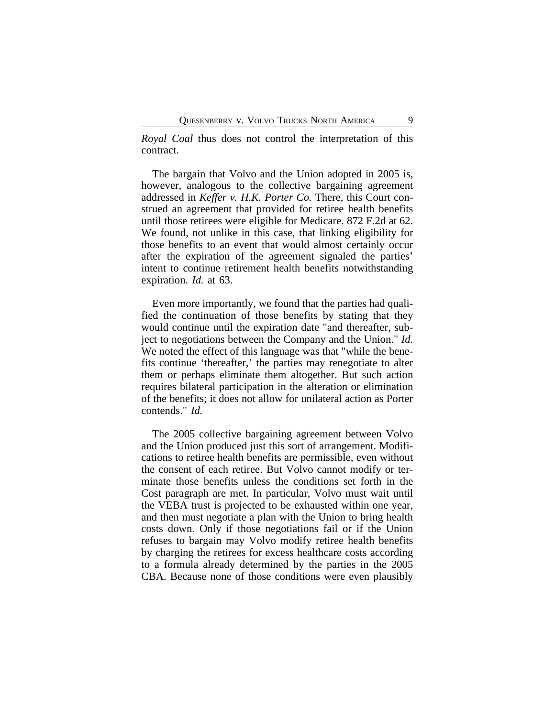*Royal Coal* thus does not control the interpretation of this contract.

The bargain that Volvo and the Union adopted in 2005 is, however, analogous to the collective bargaining agreement addressed in *Keffer v. H.K. Porter Co.* There, this Court construed an agreement that provided for retiree health benefits until those retirees were eligible for Medicare. 872 F.2d at 62. We found, not unlike in this case, that linking eligibility for those benefits to an event that would almost certainly occur after the expiration of the agreement signaled the parties' intent to continue retirement health benefits notwithstanding expiration. *Id.* at 63.

Even more importantly, we found that the parties had qualified the continuation of those benefits by stating that they would continue until the expiration date "and thereafter, subject to negotiations between the Company and the Union." *Id.* We noted the effect of this language was that "while the benefits continue 'thereafter,' the parties may renegotiate to alter them or perhaps eliminate them altogether. But such action requires bilateral participation in the alteration or elimination of the benefits; it does not allow for unilateral action as Porter contends." *Id.*

The 2005 collective bargaining agreement between Volvo and the Union produced just this sort of arrangement. Modifications to retiree health benefits are permissible, even without the consent of each retiree. But Volvo cannot modify or terminate those benefits unless the conditions set forth in the Cost paragraph are met. In particular, Volvo must wait until the VEBA trust is projected to be exhausted within one year, and then must negotiate a plan with the Union to bring health costs down. Only if those negotiations fail or if the Union refuses to bargain may Volvo modify retiree health benefits by charging the retirees for excess healthcare costs according to a formula already determined by the parties in the 2005 CBA. Because none of those conditions were even plausibly